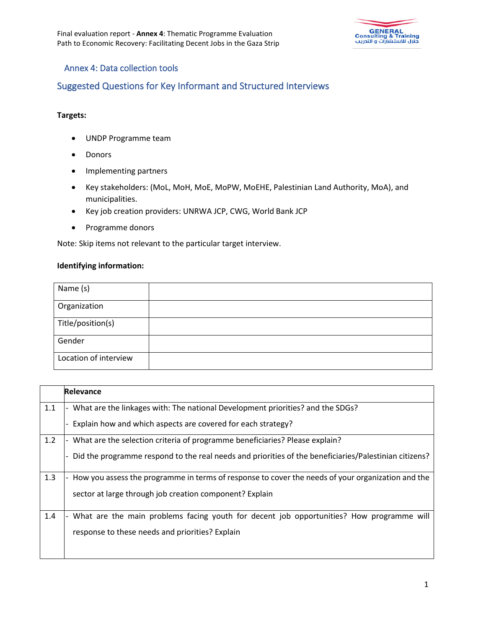

### Annex 4: Data collection tools

## Suggested Questions for Key Informant and Structured Interviews

#### **Targets:**

- UNDP Programme team
- Donors
- Implementing partners
- Key stakeholders: (MoL, MoH, MoE, MoPW, MoEHE, Palestinian Land Authority, MoA), and municipalities.
- Key job creation providers: UNRWA JCP, CWG, World Bank JCP
- Programme donors

Note: Skip items not relevant to the particular target interview.

#### **Identifying information:**

| Name (s)              |  |
|-----------------------|--|
| Organization          |  |
| Title/position(s)     |  |
| Gender                |  |
| Location of interview |  |

|     | Relevance                                                                                               |
|-----|---------------------------------------------------------------------------------------------------------|
| 1.1 | What are the linkages with: The national Development priorities? and the SDGs?                          |
|     | Explain how and which aspects are covered for each strategy?                                            |
| 1.2 | What are the selection criteria of programme beneficiaries? Please explain?<br>$\overline{\phantom{a}}$ |
|     | Did the programme respond to the real needs and priorities of the beneficiaries/Palestinian citizens?   |
| 1.3 | How you assess the programme in terms of response to cover the needs of your organization and the       |
|     | sector at large through job creation component? Explain                                                 |
| 1.4 | What are the main problems facing youth for decent job opportunities? How programme will                |
|     | response to these needs and priorities? Explain                                                         |
|     |                                                                                                         |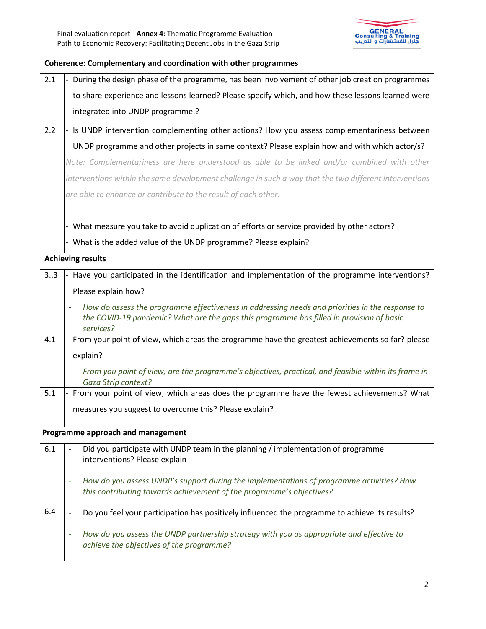

|     | Coherence: Complementary and coordination with other programmes                                                                                                                                          |  |
|-----|----------------------------------------------------------------------------------------------------------------------------------------------------------------------------------------------------------|--|
| 2.1 | During the design phase of the programme, has been involvement of other job creation programmes                                                                                                          |  |
|     | to share experience and lessons learned? Please specify which, and how these lessons learned were                                                                                                        |  |
|     | integrated into UNDP programme.?                                                                                                                                                                         |  |
| 2.2 | - Is UNDP intervention complementing other actions? How you assess complementariness between                                                                                                             |  |
|     | UNDP programme and other projects in same context? Please explain how and with which actor/s?                                                                                                            |  |
|     | Note: Complementariness are here understood as able to be linked and/or combined with other                                                                                                              |  |
|     | interventions within the same development challenge in such a way that the two different interventions                                                                                                   |  |
|     | are able to enhance or contribute to the result of each other.                                                                                                                                           |  |
|     | - What measure you take to avoid duplication of efforts or service provided by other actors?                                                                                                             |  |
|     | - What is the added value of the UNDP programme? Please explain?                                                                                                                                         |  |
|     | <b>Achieving results</b>                                                                                                                                                                                 |  |
|     |                                                                                                                                                                                                          |  |
| 33  | - Have you participated in the identification and implementation of the programme interventions?                                                                                                         |  |
|     | Please explain how?                                                                                                                                                                                      |  |
|     | How do assess the programme effectiveness in addressing needs and priorities in the response to<br>the COVID-19 pandemic? What are the gaps this programme has filled in provision of basic<br>services? |  |
| 4.1 | - From your point of view, which areas the programme have the greatest achievements so far? please                                                                                                       |  |
|     | explain?                                                                                                                                                                                                 |  |
|     | From you point of view, are the programme's objectives, practical, and feasible within its frame in<br>Gaza Strip context?                                                                               |  |
| 5.1 | From your point of view, which areas does the programme have the fewest achievements? What                                                                                                               |  |
|     | measures you suggest to overcome this? Please explain?                                                                                                                                                   |  |
|     | Programme approach and management                                                                                                                                                                        |  |
| 6.1 | Did you participate with UNDP team in the planning / implementation of programme<br>interventions? Please explain                                                                                        |  |
|     | How do you assess UNDP's support during the implementations of programme activities? How<br>this contributing towards achievement of the programme's objectives?                                         |  |
| 6.4 | Do you feel your participation has positively influenced the programme to achieve its results?                                                                                                           |  |
|     | How do you assess the UNDP partnership strategy with you as appropriate and effective to<br>achieve the objectives of the programme?                                                                     |  |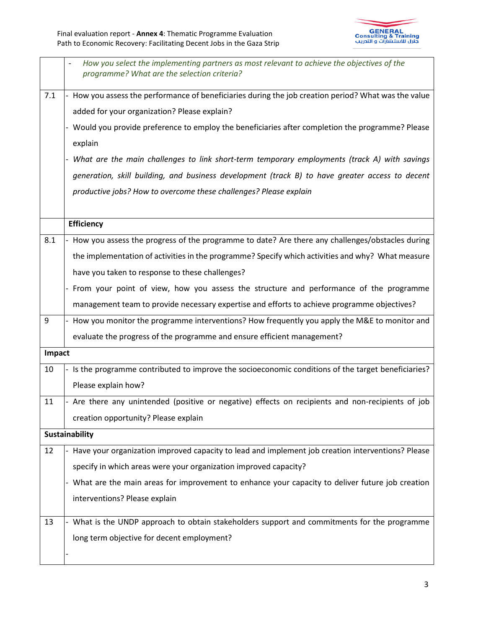

|        | How you select the implementing partners as most relevant to achieve the objectives of the<br>programme? What are the selection criteria? |
|--------|-------------------------------------------------------------------------------------------------------------------------------------------|
| 7.1    | How you assess the performance of beneficiaries during the job creation period? What was the value                                        |
|        | added for your organization? Please explain?                                                                                              |
|        | Would you provide preference to employ the beneficiaries after completion the programme? Please                                           |
|        | explain                                                                                                                                   |
|        | What are the main challenges to link short-term temporary employments (track A) with savings                                              |
|        | generation, skill building, and business development (track B) to have greater access to decent                                           |
|        | productive jobs? How to overcome these challenges? Please explain                                                                         |
|        |                                                                                                                                           |
|        | <b>Efficiency</b>                                                                                                                         |
| 8.1    | - How you assess the progress of the programme to date? Are there any challenges/obstacles during                                         |
|        | the implementation of activities in the programme? Specify which activities and why? What measure                                         |
|        | have you taken to response to these challenges?                                                                                           |
|        | From your point of view, how you assess the structure and performance of the programme                                                    |
|        | management team to provide necessary expertise and efforts to achieve programme objectives?                                               |
| 9      | - How you monitor the programme interventions? How frequently you apply the M&E to monitor and                                            |
|        | evaluate the progress of the programme and ensure efficient management?                                                                   |
| Impact |                                                                                                                                           |
| 10     | Is the programme contributed to improve the socioeconomic conditions of the target beneficiaries?                                         |
|        | Please explain how?                                                                                                                       |
| 11     | - Are there any unintended (positive or negative) effects on recipients and non-recipients of job                                         |
|        | creation opportunity? Please explain                                                                                                      |
|        | Sustainability                                                                                                                            |
| 12     | Have your organization improved capacity to lead and implement job creation interventions? Please                                         |
|        | specify in which areas were your organization improved capacity?                                                                          |
|        | - What are the main areas for improvement to enhance your capacity to deliver future job creation                                         |
|        | interventions? Please explain                                                                                                             |
| 13     | What is the UNDP approach to obtain stakeholders support and commitments for the programme                                                |
|        | long term objective for decent employment?                                                                                                |
|        |                                                                                                                                           |
|        |                                                                                                                                           |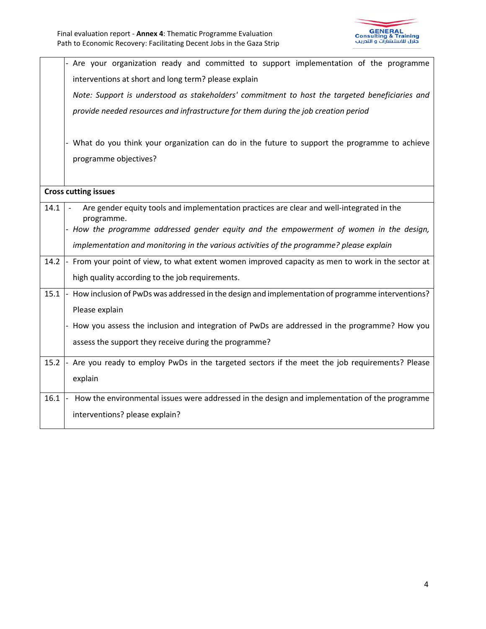

|      | Are your organization ready and committed to support implementation of the programme                    |
|------|---------------------------------------------------------------------------------------------------------|
|      | interventions at short and long term? please explain                                                    |
|      | Note: Support is understood as stakeholders' commitment to host the targeted beneficiaries and          |
|      | provide needed resources and infrastructure for them during the job creation period                     |
|      |                                                                                                         |
|      | What do you think your organization can do in the future to support the programme to achieve            |
|      | programme objectives?                                                                                   |
|      |                                                                                                         |
|      | <b>Cross cutting issues</b>                                                                             |
| 14.1 | Are gender equity tools and implementation practices are clear and well-integrated in the<br>programme. |
|      | - How the programme addressed gender equity and the empowerment of women in the design,                 |
|      | implementation and monitoring in the various activities of the programme? please explain                |
| 14.2 | - From your point of view, to what extent women improved capacity as men to work in the sector at       |
|      | high quality according to the job requirements.                                                         |
| 15.1 | - How inclusion of PwDs was addressed in the design and implementation of programme interventions?      |
|      | Please explain                                                                                          |
|      | How you assess the inclusion and integration of PwDs are addressed in the programme? How you            |
|      | assess the support they receive during the programme?                                                   |
| 15.2 | Are you ready to employ PwDs in the targeted sectors if the meet the job requirements? Please           |
|      | explain                                                                                                 |
| 16.1 | How the environmental issues were addressed in the design and implementation of the programme           |
|      | interventions? please explain?                                                                          |
|      |                                                                                                         |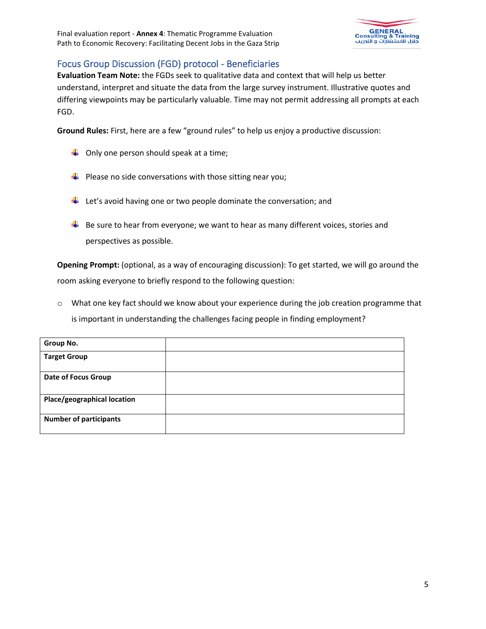

## Focus Group Discussion (FGD) protocol - Beneficiaries

**Evaluation Team Note:** the FGDs seek to qualitative data and context that will help us better understand, interpret and situate the data from the large survey instrument. Illustrative quotes and differing viewpoints may be particularly valuable. Time may not permit addressing all prompts at each FGD.

**Ground Rules:** First, here are a few "ground rules" to help us enjoy a productive discussion:

- $\downarrow$  Only one person should speak at a time;
- $\downarrow$  Please no side conversations with those sitting near you;
- $\downarrow$  Let's avoid having one or two people dominate the conversation; and
- $\downarrow$  Be sure to hear from everyone; we want to hear as many different voices, stories and perspectives as possible.

**Opening Prompt:** (optional, as a way of encouraging discussion): To get started, we will go around the room asking everyone to briefly respond to the following question:

o What one key fact should we know about your experience during the job creation programme that is important in understanding the challenges facing people in finding employment?

| Group No.                     |  |
|-------------------------------|--|
| <b>Target Group</b>           |  |
| <b>Date of Focus Group</b>    |  |
| Place/geographical location   |  |
| <b>Number of participants</b> |  |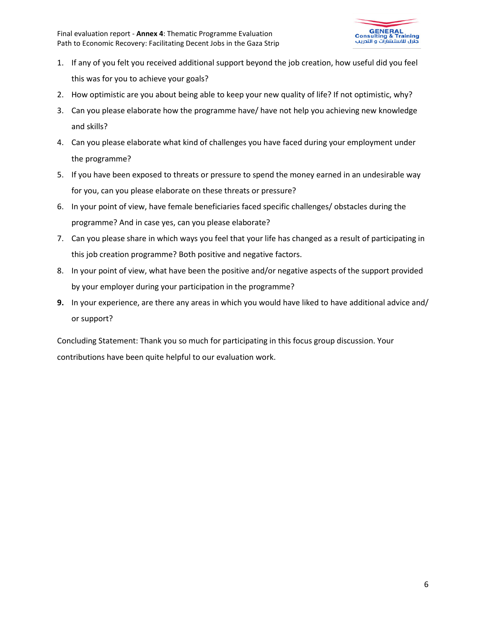

- 1. If any of you felt you received additional support beyond the job creation, how useful did you feel this was for you to achieve your goals?
- 2. How optimistic are you about being able to keep your new quality of life? If not optimistic, why?
- 3. Can you please elaborate how the programme have/ have not help you achieving new knowledge and skills?
- 4. Can you please elaborate what kind of challenges you have faced during your employment under the programme?
- 5. If you have been exposed to threats or pressure to spend the money earned in an undesirable way for you, can you please elaborate on these threats or pressure?
- 6. In your point of view, have female beneficiaries faced specific challenges/ obstacles during the programme? And in case yes, can you please elaborate?
- 7. Can you please share in which ways you feel that your life has changed as a result of participating in this job creation programme? Both positive and negative factors.
- 8. In your point of view, what have been the positive and/or negative aspects of the support provided by your employer during your participation in the programme?
- **9.** In your experience, are there any areas in which you would have liked to have additional advice and/ or support?

Concluding Statement: Thank you so much for participating in this focus group discussion. Your contributions have been quite helpful to our evaluation work.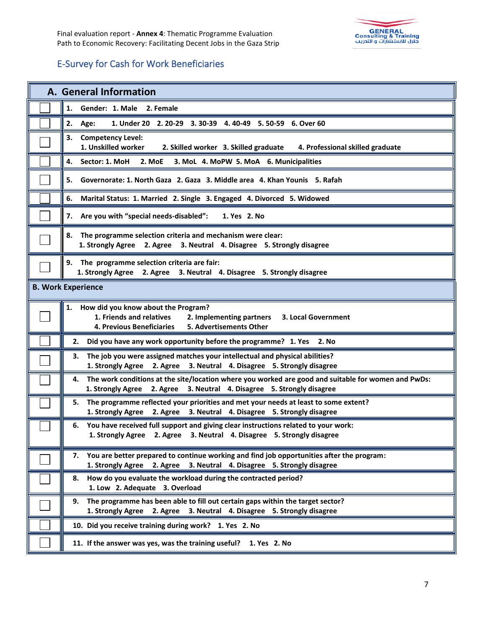

# E-Survey for Cash for Work Beneficiaries

| A. General Information                                                                                                                                                              |  |  |
|-------------------------------------------------------------------------------------------------------------------------------------------------------------------------------------|--|--|
| 1.<br>Gender: 1. Male 2. Female                                                                                                                                                     |  |  |
| 2.<br>1. Under 20 2. 20-29 3. 30-39 4. 40-49 5. 50-59 6. Over 60<br>Age:                                                                                                            |  |  |
| <b>Competency Level:</b><br>3.<br>1. Unskilled worker<br>2. Skilled worker 3. Skilled graduate<br>4. Professional skilled graduate                                                  |  |  |
| 4.<br>Sector: 1. MoH<br>3. MoL 4. MoPW 5. MoA 6. Municipalities<br>2. MoE                                                                                                           |  |  |
| 5.<br>Governorate: 1. North Gaza 2. Gaza 3. Middle area 4. Khan Younis 5. Rafah                                                                                                     |  |  |
| 6.<br>Marital Status: 1. Married 2. Single 3. Engaged 4. Divorced 5. Widowed                                                                                                        |  |  |
| 7. Are you with "special needs-disabled":<br>1. Yes 2. No                                                                                                                           |  |  |
| The programme selection criteria and mechanism were clear:<br>8.<br>1. Strongly Agree 2. Agree 3. Neutral 4. Disagree 5. Strongly disagree                                          |  |  |
| 9. The programme selection criteria are fair:<br>1. Strongly Agree 2. Agree 3. Neutral 4. Disagree 5. Strongly disagree                                                             |  |  |
| <b>B. Work Experience</b>                                                                                                                                                           |  |  |
| How did you know about the Program?<br>1.<br>1. Friends and relatives<br>2. Implementing partners<br>3. Local Government<br>5. Advertisements Other<br>4. Previous Beneficiaries    |  |  |
| 2.<br>Did you have any work opportunity before the programme? 1. Yes 2. No                                                                                                          |  |  |
| The job you were assigned matches your intellectual and physical abilities?<br>3.<br>2. Agree 3. Neutral 4. Disagree 5. Strongly disagree<br>1. Strongly Agree                      |  |  |
| The work conditions at the site/location where you worked are good and suitable for women and PwDs:<br>4.<br>1. Strongly Agree 2. Agree 3. Neutral 4. Disagree 5. Strongly disagree |  |  |
| The programme reflected your priorities and met your needs at least to some extent?<br>5.<br>1. Strongly Agree 2. Agree 3. Neutral 4. Disagree 5. Strongly disagree                 |  |  |
| You have received full support and giving clear instructions related to your work:<br>6.<br>1. Strongly Agree 2. Agree 3. Neutral 4. Disagree 5. Strongly disagree                  |  |  |
| You are better prepared to continue working and find job opportunities after the program:<br>7.<br>1. Strongly Agree 2. Agree 3. Neutral 4. Disagree 5. Strongly disagree           |  |  |
| How do you evaluate the workload during the contracted period?<br>8.<br>1. Low 2. Adequate 3. Overload                                                                              |  |  |
| The programme has been able to fill out certain gaps within the target sector?<br>9.<br>1. Strongly Agree 2. Agree 3. Neutral 4. Disagree 5. Strongly disagree                      |  |  |
| 10. Did you receive training during work? 1. Yes 2. No                                                                                                                              |  |  |
| 11. If the answer was yes, was the training useful?<br>1. Yes 2. No                                                                                                                 |  |  |